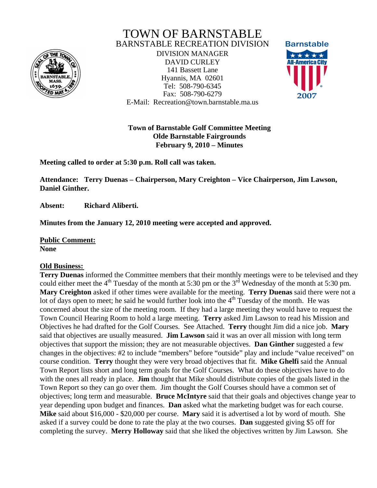

## TOWN OF BARNSTABLE BARNSTABLE RECREATION DIVISION

DIVISION MANAGER DAVID CURLEY 141 Bassett Lane Hyannis, MA 02601 Tel: 508-790-6345 Fax: 508-790-6279 E-Mail: Recreation@town.barnstable.ma.us



**Town of Barnstable Golf Committee Meeting Olde Barnstable Fairgrounds February 9, 2010 – Minutes** 

**Meeting called to order at 5:30 p.m. Roll call was taken.** 

**Attendance: Terry Duenas – Chairperson, Mary Creighton – Vice Chairperson, Jim Lawson, Daniel Ginther.** 

**Absent: Richard Aliberti.** 

**Minutes from the January 12, 2010 meeting were accepted and approved.** 

**Public Comment: None** 

## **Old Business:**

**Terry Duenas** informed the Committee members that their monthly meetings were to be televised and they could either meet the  $4<sup>th</sup>$  Tuesday of the month at 5:30 pm or the  $3<sup>rd</sup>$  Wednesday of the month at 5:30 pm. **Mary Creighton** asked if other times were available for the meeting. **Terry Duenas** said there were not a lot of days open to meet; he said he would further look into the  $4<sup>th</sup>$  Tuesday of the month. He was concerned about the size of the meeting room. If they had a large meeting they would have to request the Town Council Hearing Room to hold a large meeting. **Terry** asked Jim Lawson to read his Mission and Objectives he had drafted for the Golf Courses. See Attached. **Terry** thought Jim did a nice job. **Mary**  said that objectives are usually measured. **Jim Lawson** said it was an over all mission with long term objectives that support the mission; they are not measurable objectives. **Dan Ginther** suggested a few changes in the objectives: #2 to include "members" before "outside" play and include "value received" on course condition. **Terry** thought they were very broad objectives that fit. **Mike Ghelfi** said the Annual Town Report lists short and long term goals for the Golf Courses. What do these objectives have to do with the ones all ready in place. **Jim** thought that Mike should distribute copies of the goals listed in the Town Report so they can go over them. Jim thought the Golf Courses should have a common set of objectives; long term and measurable. **Bruce McIntyre** said that their goals and objectives change year to year depending upon budget and finances. **Dan** asked what the marketing budget was for each course. **Mike** said about \$16,000 - \$20,000 per course. **Mary** said it is advertised a lot by word of mouth. She asked if a survey could be done to rate the play at the two courses. **Dan** suggested giving \$5 off for completing the survey. **Merry Holloway** said that she liked the objectives written by Jim Lawson. She